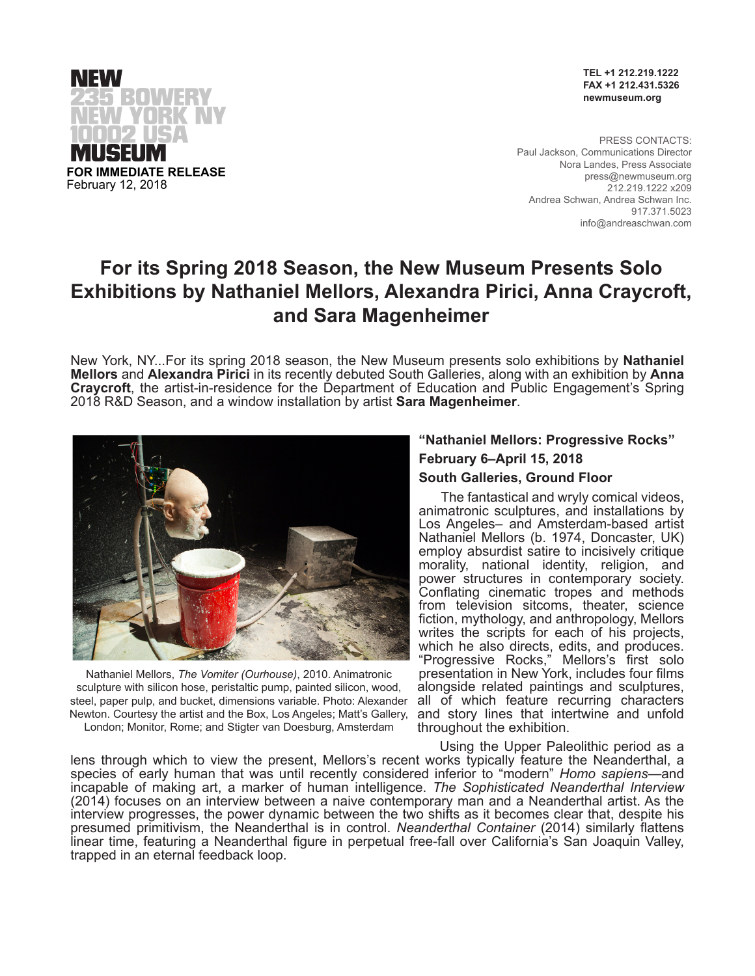

**TEL +1 212.219.1222 FAX +1 212.431.5326 newmuseum.org**

PRESS CONTACTS: Paul Jackson, Communications Director Nora Landes, Press Associate press@newmuseum.org 212.219.1222 x209 Andrea Schwan, Andrea Schwan Inc. 917.371.5023 info@andreaschwan.com

# **For its Spring 2018 Season, the New Museum Presents Solo Exhibitions by Nathaniel Mellors, Alexandra Pirici, Anna Craycroft, and Sara Magenheimer**

New York, NY...For its spring 2018 season, the New Museum presents solo exhibitions by **Nathaniel Mellors** and **Alexandra Pirici** in its recently debuted South Galleries, along with an exhibition by **Anna Craycroft**, the artist-in-residence for the Department of Education and Public Engagement's Spring 2018 R&D Season, and a window installation by artist **Sara Magenheimer**.



Nathaniel Mellors, *The Vomiter (Ourhouse)*, 2010. Animatronic sculpture with silicon hose, peristaltic pump, painted silicon, wood, steel, paper pulp, and bucket, dimensions variable. Photo: Alexander Newton. Courtesy the artist and the Box, Los Angeles; Matt's Gallery, London; Monitor, Rome; and Stigter van Doesburg, Amsterdam

# **"Nathaniel Mellors: Progressive Rocks" February 6–April 15, 2018**

# **South Galleries, Ground Floor**

The fantastical and wryly comical videos, animatronic sculptures, and installations by Los Angeles– and Amsterdam-based artist Nathaniel Mellors (b. 1974, Doncaster, UK) employ absurdist satire to incisively critique morality, national identity, religion, and power structures in contemporary society. Conflating cinematic tropes and methods from television sitcoms, theater, science fiction, mythology, and anthropology, Mellors writes the scripts for each of his projects, which he also directs, edits, and produces. "Progressive Rocks," Mellors's first solo presentation in New York, includes four films alongside related paintings and sculptures, all of which feature recurring characters and story lines that intertwine and unfold throughout the exhibition.

Using the Upper Paleolithic period as a lens through which to view the present, Mellors's recent works typically feature the Neanderthal, a species of early human that was until recently considered inferior to "modern" *Homo sapiens*—and incapable of making art, a marker of human intelligence. *The Sophisticated Neanderthal Interview* (2014) focuses on an interview between a naive contemporary man and a Neanderthal artist. As the interview progresses, the power dynamic between the two shifts as it becomes clear that, despite his presumed primitivism, the Neanderthal is in control. *Neanderthal Container* (2014) similarly flattens linear time, featuring a Neanderthal figure in perpetual free-fall over California's San Joaquin Valley, trapped in an eternal feedback loop.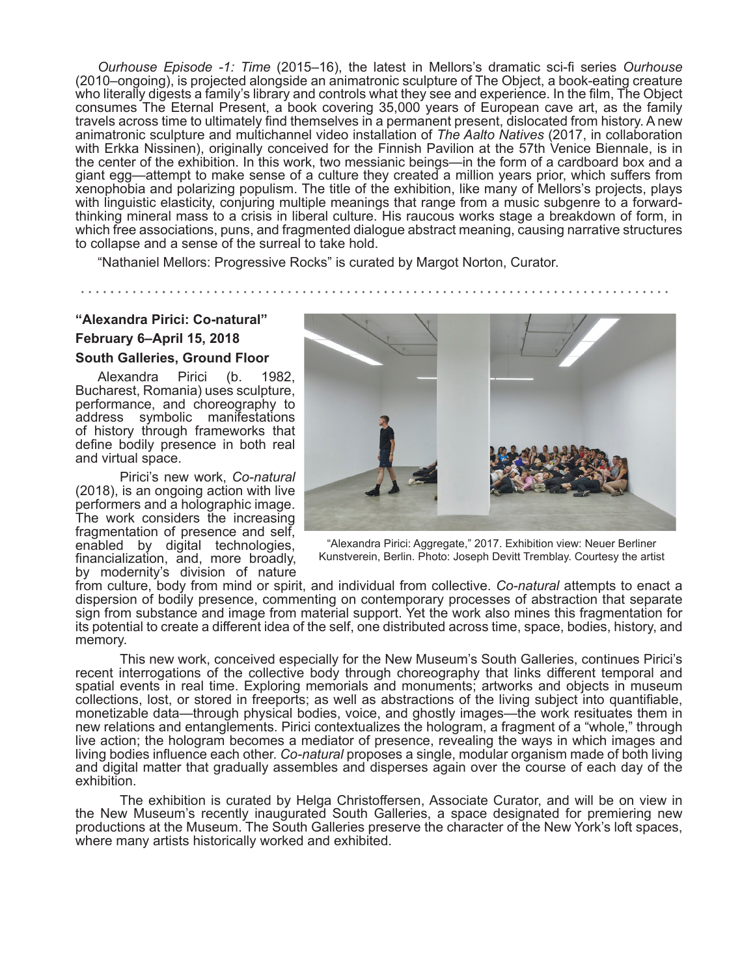*Ourhouse Episode -1: Time* (2015–16), the latest in Mellors's dramatic sci-fi series *Ourhouse* (2010–ongoing), is projected alongside an animatronic sculpture of The Object, a book-eating creature who literally digests a family's library and controls what they see and experience. In the film, The Object consumes The Eternal Present, a book covering 35,000 years of European cave art, as the family travels across time to ultimately find themselves in a permanent present, dislocated from history. A new animatronic sculpture and multichannel video installation of *The Aalto Natives* (2017, in collaboration with Erkka Nissinen), originally conceived for the Finnish Pavilion at the 57th Venice Biennale, is in the center of the exhibition. In this work, two messianic beings—in the form of a cardboard box and a giant egg—attempt to make sense of a culture they created a million years prior, which suffers from xenophobia and polarizing populism. The title of the exhibition, like many of Mellors's projects, plays with linguistic elasticity, conjuring multiple meanings that range from a music subgenre to a forwardthinking mineral mass to a crisis in liberal culture. His raucous works stage a breakdown of form, in which free associations, puns, and fragmented dialogue abstract meaning, causing narrative structures to collapse and a sense of the surreal to take hold.

"Nathaniel Mellors: Progressive Rocks" is curated by Margot Norton, Curator.

# **"Alexandra Pirici: Co-natural" February 6–April 15, 2018 South Galleries, Ground Floor**

Alexandra Pirici (b. 1982, Bucharest, Romania) uses sculpture, performance, and choreography to address symbolic manifestations of history through frameworks that define bodily presence in both real and virtual space.

Pirici's new work, *Co-natural*  (2018), is an ongoing action with live performers and a holographic image. The work considers the increasing fragmentation of presence and self, enabled by digital technologies, financialization, and, more broadly, by modernity's division of nature



"Alexandra Pirici: Aggregate," 2017. Exhibition view: Neuer Berliner Kunstverein, Berlin. Photo: Joseph Devitt Tremblay. Courtesy the artist

from culture, body from mind or spirit, and individual from collective. *Co-natural* attempts to enact a dispersion of bodily presence, commenting on contemporary processes of abstraction that separate sign from substance and image from material support. Yet the work also mines this fragmentation for its potential to create a different idea of the self, one distributed across time, space, bodies, history, and memory.

This new work, conceived especially for the New Museum's South Galleries, continues Pirici's recent interrogations of the collective body through choreography that links different temporal and spatial events in real time. Exploring memorials and monuments; artworks and objects in museum collections, lost, or stored in freeports; as well as abstractions of the living subject into quantifiable, monetizable data—through physical bodies, voice, and ghostly images—the work resituates them in new relations and entanglements. Pirici contextualizes the hologram, a fragment of a "whole," through live action; the hologram becomes a mediator of presence, revealing the ways in which images and living bodies influence each other. *Co-natural* proposes a single, modular organism made of both living and digital matter that gradually assembles and disperses again over the course of each day of the exhibition.

The exhibition is curated by Helga Christoffersen, Associate Curator, and will be on view in the New Museum's recently inaugurated South Galleries, a space designated for premiering new productions at the Museum. The South Galleries preserve the character of the New York's loft spaces, where many artists historically worked and exhibited.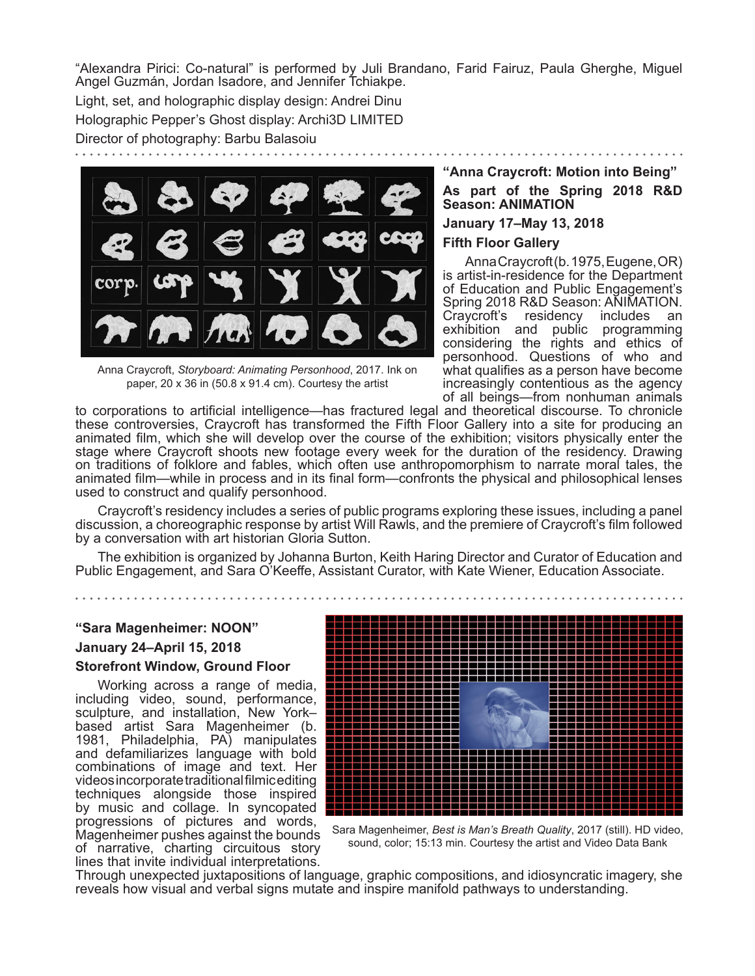"Alexandra Pirici: Co-natural" is performed by Juli Brandano, Farid Fairuz, Paula Gherghe, Miguel Angel Guzmán, Jordan Isadore, and Jennifer Tchiakpe.

Light, set, and holographic display design: Andrei Dinu Holographic Pepper's Ghost display: Archi3D LIMITED

Director of photography: Barbu Balasoiu



Anna Craycroft, *Storyboard: Animating Personhood*, 2017. Ink on paper, 20 x 36 in (50.8 x 91.4 cm). Courtesy the artist

# **"Anna Craycroft: Motion into Being"**

**As part of the Spring 2018 R&D Season: ANIMATION** 

**January 17–May 13, 2018**

## **Fifth Floor Gallery**

Anna Craycroft (b. 1975, Eugene, OR) is artist-in-residence for the Department of Education and Public Engagement's Spring 2018 R&D Season: AÑIMATION.<br>Cravcroft's residency includes an Craycroft's residency includes an exhibition and public programming considering the rights and ethics of personhood. Questions of who and what qualifies as a person have become increasingly contentious as the agency of all beings—from nonhuman animals

to corporations to artificial intelligence-has fractured legal and theoretical discourse. To chronicle these controversies, Craycroft has transformed the Fifth Floor Gallery into a site for producing an animated film, which she will develop over the course of the exhibition; visitors physically enter the stage where Craycroft shoots new footage every week for the duration of the residency. Drawing on traditions of folklore and fables, which often use anthropomorphism to narrate moral tales, the animated film—while in process and in its final form—confronts the physical and philosophical lenses used to construct and qualify personhood.

Craycroft's residency includes a series of public programs exploring these issues, including a panel discussion, a choreographic response by artist Will Rawls, and the premiere of Craycroft's film followed by a conversation with art historian Gloria Sutton.

The exhibition is organized by Johanna Burton, Keith Haring Director and Curator of Education and Public Engagement, and Sara O'Keeffe, Assistant Curator, with Kate Wiener, Education Associate.

# **"Sara Magenheimer: NOON" January 24–April 15, 2018 Storefront Window, Ground Floor**

Working across a range of media, including video, sound, performance, sculpture, and installation, New York– based artist Sara Magenheimer (b. 1981, Philadelphia, PA) manipulates and defamiliarizes language with bold combinations of image and text. Her videos incorporate traditional filmic editing techniques alongside those inspired by music and collage. In syncopated progressions of pictures and words, Magenheimer pushes against the bounds of narrative, charting circuitous story lines that invite individual interpretations.



Sara Magenheimer, *Best is Man's Breath Quality*, 2017 (still). HD video, sound, color; 15:13 min. Courtesy the artist and Video Data Bank

Through unexpected juxtapositions of language, graphic compositions, and idiosyncratic imagery, she reveals how visual and verbal signs mutate and inspire manifold pathways to understanding.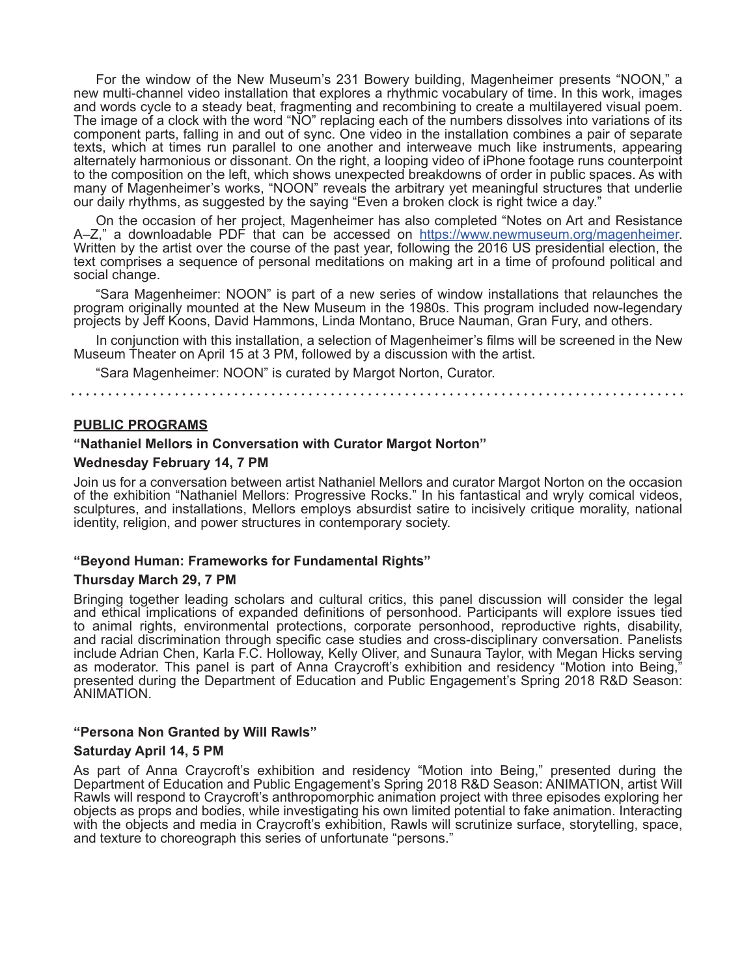For the window of the New Museum's 231 Bowery building, Magenheimer presents "NOON," a new multi-channel video installation that explores a rhythmic vocabulary of time. In this work, images and words cycle to a steady beat, fragmenting and recombining to create a multilayered visual poem. The image of a clock with the word "NO" replacing each of the numbers dissolves into variations of its component parts, falling in and out of sync. One video in the installation combines a pair of separate texts, which at times run parallel to one another and interweave much like instruments, appearing alternately harmonious or dissonant. On the right, a looping video of iPhone footage runs counterpoint to the composition on the left, which shows unexpected breakdowns of order in public spaces. As with many of Magenheimer's works, "NOON" reveals the arbitrary yet meaningful structures that underlie our daily rhythms, as suggested by the saying "Even a broken clock is right twice a day."

On the occasion of her project, Magenheimer has also completed "Notes on Art and Resistance A–Z," a downloadable PDF that can be accessed on https://www.newmuseum.org/magenheimer. Written by the artist over the course of the past year, following the 2016 US presidential election, the text comprises a sequence of personal meditations on making art in a time of profound political and social change.

"Sara Magenheimer: NOON" is part of a new series of window installations that relaunches the program originally mounted at the New Museum in the 1980s. This program included now-legendary projects by Jeff Koons, David Hammons, Linda Montano, Bruce Nauman, Gran Fury, and others.

In conjunction with this installation, a selection of Magenheimer's films will be screened in the New Museum Theater on April 15 at 3 PM, followed by a discussion with the artist.

"Sara Magenheimer: NOON" is curated by Margot Norton, Curator.

#### **PUBLIC PROGRAMS**

#### **"Nathaniel Mellors in Conversation with Curator Margot Norton"**

#### **Wednesday February 14, 7 PM**

Join us for a conversation between artist Nathaniel Mellors and curator Margot Norton on the occasion of the exhibition "Nathaniel Mellors: Progressive Rocks." In his fantastical and wryly comical videos, sculptures, and installations, Mellors employs absurdist satire to incisively critique morality, national identity, religion, and power structures in contemporary society.

#### **"Beyond Human: Frameworks for Fundamental Rights"**

#### **Thursday March 29, 7 PM**

Bringing together leading scholars and cultural critics, this panel discussion will consider the legal and ethical implications of expanded definitions of personhood. Participants will explore issues tied to animal rights, environmental protections, corporate personhood, reproductive rights, disability, and racial discrimination through specific case studies and cross-disciplinary conversation. Panelists include Adrian Chen, Karla F.C. Holloway, Kelly Oliver, and Sunaura Taylor, with Megan Hicks serving as moderator. This panel is part of Anna Craycroft's exhibition and residency "Motion into Being," presented during the Department of Education and Public Engagement's Spring 2018 R&D Season: ANIMATION.

#### **"Persona Non Granted by Will Rawls"**

#### **Saturday April 14, 5 PM**

As part of Anna Craycroft's exhibition and residency "Motion into Being," presented during the Department of Education and Public Engagement's Spring 2018 R&D Season: ANIMATION, artist Will Rawls will respond to Craycroft's anthropomorphic animation project with three episodes exploring her objects as props and bodies, while investigating his own limited potential to fake animation. Interacting with the objects and media in Craycroft's exhibition, Rawls will scrutinize surface, storytelling, space, and texture to choreograph this series of unfortunate "persons."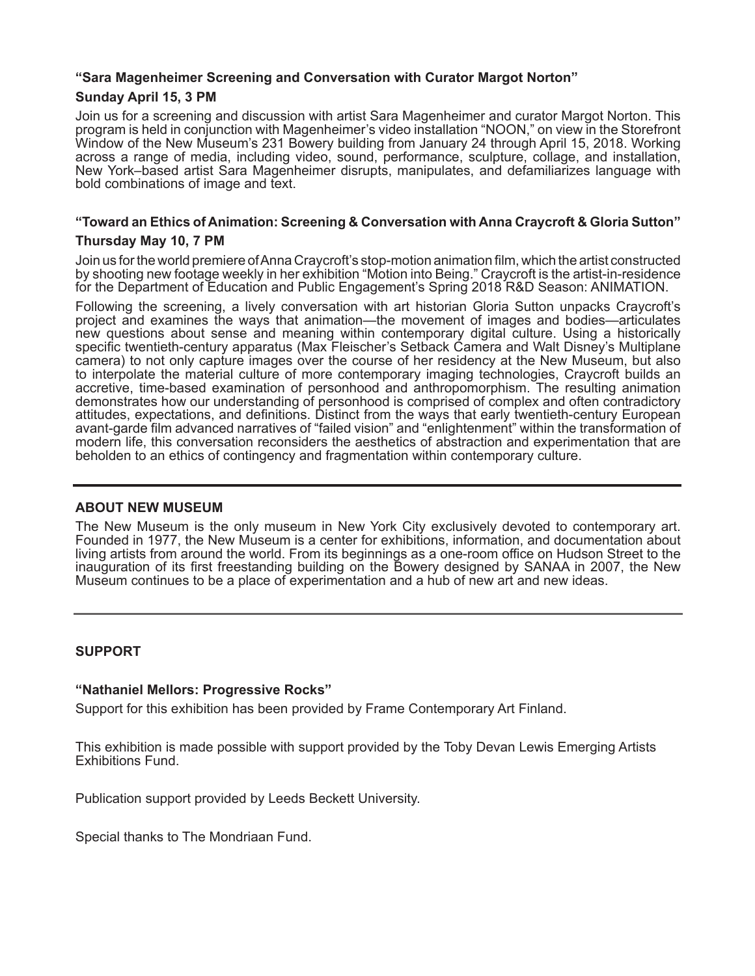# **"Sara Magenheimer Screening and Conversation with Curator Margot Norton"**

## **Sunday April 15, 3 PM**

Join us for a screening and discussion with artist Sara Magenheimer and curator Margot Norton. This program is held in conjunction with Magenheimer's video installation "NOON," on view in the Storefront Window of the New Museum's 231 Bowery building from January 24 through April 15, 2018. Working across a range of media, including video, sound, performance, sculpture, collage, and installation, New York–based artist Sara Magenheimer disrupts, manipulates, and defamiliarizes language with bold combinations of image and text.

# **"Toward an Ethics of Animation: Screening & Conversation with Anna Craycroft & Gloria Sutton"**

# **Thursday May 10, 7 PM**

Join us for the world premiere of Anna Craycroft's stop-motion animation film, which the artist constructed by shooting new footage weekly in her exhibition "Motion into Being." Craycroft is the artist-in-residence for the Department of Education and Public Engagement's Spring 2018 R&D Season: ANIMATION.

Following the screening, a lively conversation with art historian Gloria Sutton unpacks Craycroft's project and examines the ways that animation—the movement of images and bodies—articulates new questions about sense and meaning within contemporary digital culture. Using a historically specific twentieth-century apparatus (Max Fleischer's Setback Camera and Walt Disney's Multiplane camera) to not only capture images over the course of her residency at the New Museum, but also to interpolate the material culture of more contemporary imaging technologies, Craycroft builds an accretive, time-based examination of personhood and anthropomorphism. The resulting animation demonstrates how our understanding of personhood is comprised of complex and often contradictory attitudes, expectations, and definitions. Distinct from the ways that early twentieth-century European avant-garde film advanced narratives of "failed vision" and "enlightenment" within the transformation of modern life, this conversation reconsiders the aesthetics of abstraction and experimentation that are beholden to an ethics of contingency and fragmentation within contemporary culture.

# **ABOUT NEW MUSEUM**

The New Museum is the only museum in New York City exclusively devoted to contemporary art. Founded in 1977, the New Museum is a center for exhibitions, information, and documentation about living artists from around the world. From its beginnings as a one-room office on Hudson Street to the inauguration of its first freestanding building on the Bowery designed by SANAA in 2007, the New Museum continues to be a place of experimentation and a hub of new art and new ideas.

# **SUPPORT**

## **"Nathaniel Mellors: Progressive Rocks"**

Support for this exhibition has been provided by Frame Contemporary Art Finland.

This exhibition is made possible with support provided by the Toby Devan Lewis Emerging Artists Exhibitions Fund.

Publication support provided by Leeds Beckett University.

Special thanks to The Mondriaan Fund.